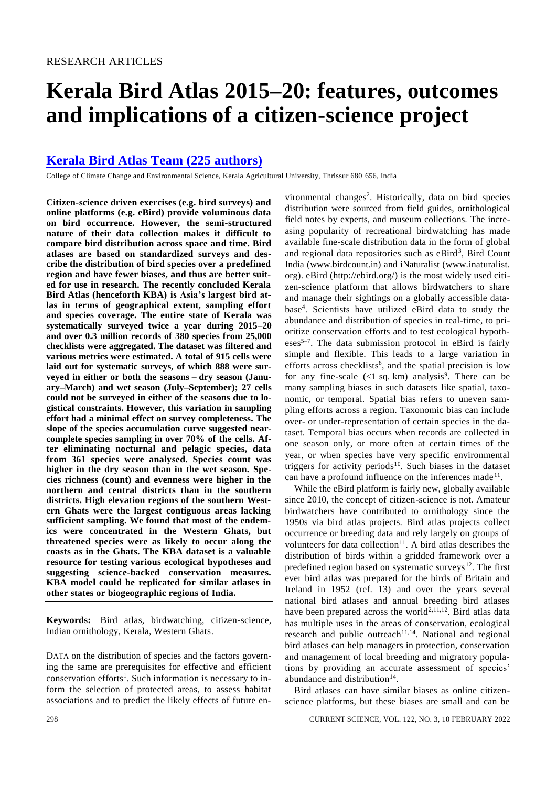# **Kerala Bird Atlas 2015–20: features, outcomes and implications of a citizen-science project**

## **[Kerala Bird Atlas Team \(225](https://www.currentscience.ac.in/Volumes/122/03/0298-authors.pdf) authors)**

College of Climate Change and Environmental Science, Kerala Agricultural University, Thrissur 680 656, India

**Citizen-science driven exercises (e.g. bird surveys) and online platforms (e.g. eBird) provide voluminous data on bird occurrence. However, the semi-structured nature of their data collection makes it difficult to compare bird distribution across space and time. Bird atlases are based on standardized surveys and describe the distribution of bird species over a predefined region and have fewer biases, and thus are better suited for use in research. The recently concluded Kerala Bird Atlas (henceforth KBA) is Asia's largest bird atlas in terms of geographical extent, sampling effort and species coverage. The entire state of Kerala was systematically surveyed twice a year during 2015–20 and over 0.3 million records of 380 species from 25,000 checklists were aggregated. The dataset was filtered and various metrics were estimated. A total of 915 cells were laid out for systematic surveys, of which 888 were surveyed in either or both the seasons – dry season (January–March) and wet season (July–September); 27 cells could not be surveyed in either of the seasons due to logistical constraints. However, this variation in sampling effort had a minimal effect on survey completeness. The slope of the species accumulation curve suggested nearcomplete species sampling in over 70% of the cells. After eliminating nocturnal and pelagic species, data from 361 species were analysed. Species count was higher in the dry season than in the wet season. Species richness (count) and evenness were higher in the northern and central districts than in the southern districts. High elevation regions of the southern Western Ghats were the largest contiguous areas lacking sufficient sampling. We found that most of the endemics were concentrated in the Western Ghats, but threatened species were as likely to occur along the coasts as in the Ghats. The KBA dataset is a valuable resource for testing various ecological hypotheses and suggesting science-backed conservation measures. KBA model could be replicated for similar atlases in other states or biogeographic regions of India.**

**Keywords:** Bird atlas, birdwatching, citizen-science, Indian ornithology, Kerala, Western Ghats.

DATA on the distribution of species and the factors governing the same are prerequisites for effective and efficient conservation efforts<sup>1</sup>. Such information is necessary to inform the selection of protected areas, to assess habitat associations and to predict the likely effects of future en-

vironmental changes<sup>2</sup>. Historically, data on bird species distribution were sourced from field guides, ornithological field notes by experts, and museum collections. The increasing popularity of recreational birdwatching has made available fine-scale distribution data in the form of global and regional data repositories such as eBird<sup>3</sup>, Bird Count India [\(www.birdcount.in\)](http://www.birdcount.in/) and iNaturalist [\(www.inaturalist.](http://www.inaturalist.org/) [org\)](http://www.inaturalist.org/). eBird [\(http://ebird.org/\)](http://ebird.org/) is the most widely used citizen-science platform that allows birdwatchers to share and manage their sightings on a globally accessible database<sup>4</sup> . Scientists have utilized eBird data to study the abundance and distribution of species in real-time, to prioritize conservation efforts and to test ecological hypotheses<sup>5-7</sup>. The data submission protocol in eBird is fairly simple and flexible. This leads to a large variation in efforts across checklists<sup>8</sup>, and the spatial precision is low for any fine-scale  $($  1 sq. km) analysis<sup>9</sup>. There can be many sampling biases in such datasets like spatial, taxonomic, or temporal. Spatial bias refers to uneven sampling efforts across a region. Taxonomic bias can include over- or under-representation of certain species in the dataset. Temporal bias occurs when records are collected in one season only, or more often at certain times of the year, or when species have very specific environmental triggers for activity periods<sup>10</sup>. Such biases in the dataset can have a profound influence on the inferences made<sup>11</sup>.

While the eBird platform is fairly new, globally available since 2010, the concept of citizen-science is not. Amateur birdwatchers have contributed to ornithology since the 1950s via bird atlas projects. Bird atlas projects collect occurrence or breeding data and rely largely on groups of volunteers for data collection<sup>11</sup>. A bird atlas describes the distribution of birds within a gridded framework over a predefined region based on systematic surveys<sup>12</sup>. The first ever bird atlas was prepared for the birds of Britain and Ireland in 1952 (ref. 13) and over the years several national bird atlases and annual breeding bird atlases have been prepared across the world<sup>2,11,12</sup>. Bird atlas data has multiple uses in the areas of conservation, ecological research and public outreach<sup>11,14</sup>. National and regional bird atlases can help managers in protection, conservation and management of local breeding and migratory populations by providing an accurate assessment of species' abundance and distribution $14$ .

Bird atlases can have similar biases as online citizenscience platforms, but these biases are small and can be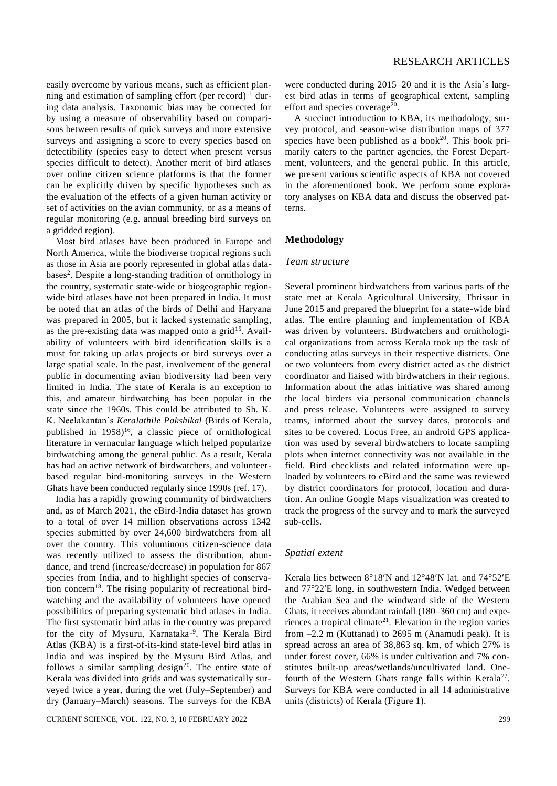easily overcome by various means, such as efficient planning and estimation of sampling effort (per record)<sup>11</sup> during data analysis. Taxonomic bias may be corrected for by using a measure of observability based on comparisons between results of quick surveys and more extensive surveys and assigning a score to every species based on detectibility (species easy to detect when present versus species difficult to detect). Another merit of bird atlases over online citizen science platforms is that the former can be explicitly driven by specific hypotheses such as the evaluation of the effects of a given human activity or set of activities on the avian community, or as a means of regular monitoring (e.g. annual breeding bird surveys on a gridded region).

Most bird atlases have been produced in Europe and North America, while the biodiverse tropical regions such as those in Asia are poorly represented in global atlas databases<sup>2</sup>. Despite a long-standing tradition of ornithology in the country, systematic state-wide or biogeographic regionwide bird atlases have not been prepared in India. It must be noted that an atlas of the birds of Delhi and Haryana was prepared in 2005, but it lacked systematic sampling, as the pre-existing data was mapped onto a grid<sup>15</sup>. Availability of volunteers with bird identification skills is a must for taking up atlas projects or bird surveys over a large spatial scale. In the past, involvement of the general public in documenting avian biodiversity had been very limited in India. The state of Kerala is an exception to this, and amateur birdwatching has been popular in the state since the 1960s. This could be attributed to Sh. K. K. Neelakantan's *Keralathile Pakshikal* (Birds of Kerala, published in  $1958$ <sup>16</sup>, a classic piece of ornithological literature in vernacular language which helped popularize birdwatching among the general public. As a result, Kerala has had an active network of birdwatchers, and volunteerbased regular bird-monitoring surveys in the Western Ghats have been conducted regularly since 1990s (ref. 17).

India has a rapidly growing community of birdwatchers and, as of March 2021, the eBird-India dataset has grown to a total of over 14 million observations across 1342 species submitted by over 24,600 birdwatchers from all over the country. This voluminous citizen-science data was recently utilized to assess the distribution, abundance, and trend (increase/decrease) in population for 867 species from India, and to highlight species of conservation concern<sup>18</sup>. The rising popularity of recreational birdwatching and the availability of volunteers have opened possibilities of preparing systematic bird atlases in India. The first systematic bird atlas in the country was prepared for the city of Mysuru, Karnataka<sup>19</sup>. The Kerala Bird Atlas (KBA) is a first-of-its-kind state-level bird atlas in India and was inspired by the Mysuru Bird Atlas, and follows a similar sampling design<sup>20</sup>. The entire state of Kerala was divided into grids and was systematically surveyed twice a year, during the wet (July–September) and dry (January–March) seasons. The surveys for the KBA

were conducted during 2015–20 and it is the Asia's largest bird atlas in terms of geographical extent, sampling effort and species coverage<sup>20</sup>.

A succinct introduction to KBA, its methodology, survey protocol, and season-wise distribution maps of 377 species have been published as a book<sup>20</sup>. This book primarily caters to the partner agencies, the Forest Department, volunteers, and the general public. In this article, we present various scientific aspects of KBA not covered in the aforementioned book. We perform some exploratory analyses on KBA data and discuss the observed patterns.

#### **Methodology**

#### *Team structure*

Several prominent birdwatchers from various parts of the state met at Kerala Agricultural University, Thrissur in June 2015 and prepared the blueprint for a state-wide bird atlas. The entire planning and implementation of KBA was driven by volunteers. Birdwatchers and ornithological organizations from across Kerala took up the task of conducting atlas surveys in their respective districts. One or two volunteers from every district acted as the district coordinator and liaised with birdwatchers in their regions. Information about the atlas initiative was shared among the local birders via personal communication channels and press release. Volunteers were assigned to survey teams, informed about the survey dates, protocols and sites to be covered. Locus Free, an android GPS application was used by several birdwatchers to locate sampling plots when internet connectivity was not available in the field. Bird checklists and related information were uploaded by volunteers to eBird and the same was reviewed by district coordinators for protocol, location and duration. An online Google Maps visualization was created to track the progress of the survey and to mark the surveyed sub-cells.

#### *Spatial extent*

Kerala lies between  $8^{\circ}18'N$  and  $12^{\circ}48'N$  lat. and  $74^{\circ}52'E$ and 7722E long. in southwestern India. Wedged between the Arabian Sea and the windward side of the Western Ghats, it receives abundant rainfall (180–360 cm) and experiences a tropical climate<sup>21</sup>. Elevation in the region varies from  $-2.2$  m (Kuttanad) to 2695 m (Anamudi peak). It is spread across an area of 38,863 sq. km, of which 27% is under forest cover, 66% is under cultivation and 7% constitutes built-up areas/wetlands/uncultivated land. Onefourth of the Western Ghats range falls within Kerala<sup>22</sup>. Surveys for KBA were conducted in all 14 administrative units (districts) of Kerala (Figure 1).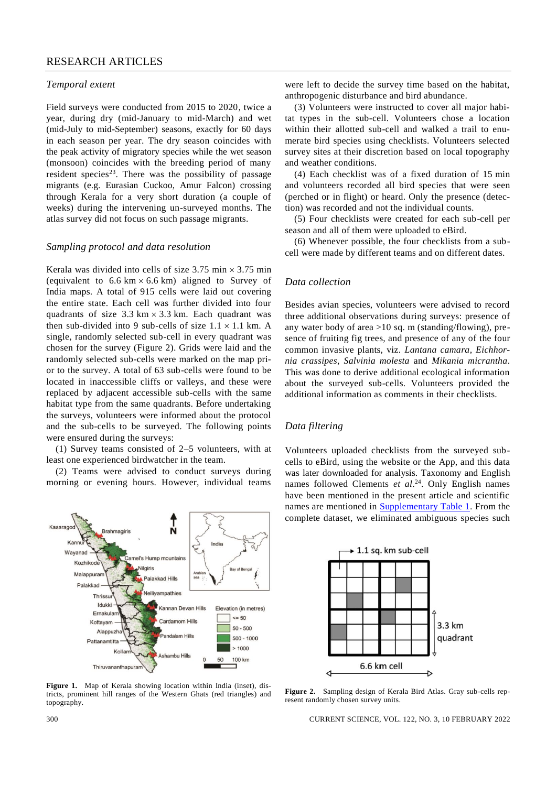#### *Temporal extent*

Field surveys were conducted from 2015 to 2020, twice a year, during dry (mid-January to mid-March) and wet (mid-July to mid-September) seasons, exactly for 60 days in each season per year. The dry season coincides with the peak activity of migratory species while the wet season (monsoon) coincides with the breeding period of many resident species<sup>23</sup>. There was the possibility of passage migrants (e.g. Eurasian Cuckoo, Amur Falcon) crossing through Kerala for a very short duration (a couple of weeks) during the intervening un-surveyed months. The atlas survey did not focus on such passage migrants.

#### *Sampling protocol and data resolution*

Kerala was divided into cells of size  $3.75$  min  $\times$   $3.75$  min (equivalent to  $6.6 \text{ km} \times 6.6 \text{ km}$ ) aligned to Survey of India maps. A total of 915 cells were laid out covering the entire state. Each cell was further divided into four quadrants of size  $3.3 \text{ km} \times 3.3 \text{ km}$ . Each quadrant was then sub-divided into 9 sub-cells of size  $1.1 \times 1.1$  km. A single, randomly selected sub-cell in every quadrant was chosen for the survey (Figure 2). Grids were laid and the randomly selected sub-cells were marked on the map prior to the survey. A total of 63 sub-cells were found to be located in inaccessible cliffs or valleys, and these were replaced by adjacent accessible sub-cells with the same habitat type from the same quadrants. Before undertaking the surveys, volunteers were informed about the protocol and the sub-cells to be surveyed. The following points were ensured during the surveys:

(1) Survey teams consisted of 2–5 volunteers, with at least one experienced birdwatcher in the team.

(2) Teams were advised to conduct surveys during morning or evening hours. However, individual teams



**Figure 1.** Map of Kerala showing location within India (inset), districts, prominent hill ranges of the Western Ghats (red triangles) and topography.

were left to decide the survey time based on the habitat, anthropogenic disturbance and bird abundance.

(3) Volunteers were instructed to cover all major habitat types in the sub-cell. Volunteers chose a location within their allotted sub-cell and walked a trail to enumerate bird species using checklists. Volunteers selected survey sites at their discretion based on local topography and weather conditions.

(4) Each checklist was of a fixed duration of 15 min and volunteers recorded all bird species that were seen (perched or in flight) or heard. Only the presence (detection) was recorded and not the individual counts.

(5) Four checklists were created for each sub-cell per season and all of them were uploaded to eBird.

(6) Whenever possible, the four checklists from a subcell were made by different teams and on different dates.

#### *Data collection*

Besides avian species, volunteers were advised to record three additional observations during surveys: presence of any water body of area  $>10$  sq. m (standing/flowing), presence of fruiting fig trees, and presence of any of the four common invasive plants, viz. *Lantana camara*, *Eichhornia crassipes*, *Salvinia molesta* and *Mikania micrantha*. This was done to derive additional ecological information about the surveyed sub-cells. Volunteers provided the additional information as comments in their checklists.

## *Data filtering*

Volunteers uploaded checklists from the surveyed subcells to eBird, using the website or the App, and this data was later downloaded for analysis. Taxonomy and English names followed Clements *et al*. <sup>24</sup>. Only English names have been mentioned in the present article and scientific names are mentioned in [Supplementary Table 1.](https://www.currentscience.ac.in/Volumes/122/03/0298-suppl.pdf) From the complete dataset, we eliminated ambiguous species such



**Figure 2.** Sampling design of Kerala Bird Atlas. Gray sub-cells represent randomly chosen survey units.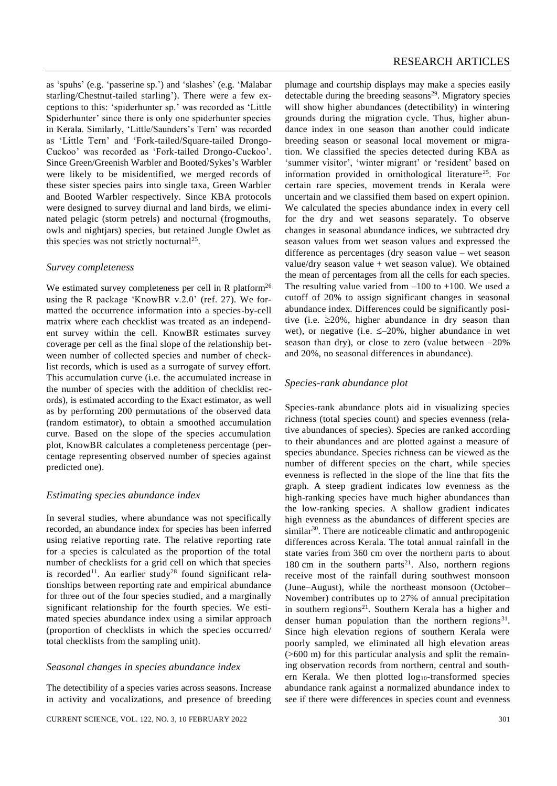as 'spuhs' (e.g. 'passerine sp.') and 'slashes' (e.g. 'Malabar starling/Chestnut-tailed starling'). There were a few exceptions to this: 'spiderhunter sp.' was recorded as 'Little Spiderhunter' since there is only one spiderhunter species in Kerala. Similarly, 'Little/Saunders's Tern' was recorded as 'Little Tern' and 'Fork-tailed/Square-tailed Drongo-Cuckoo' was recorded as 'Fork-tailed Drongo-Cuckoo'. Since Green/Greenish Warbler and Booted/Sykes's Warbler were likely to be misidentified, we merged records of these sister species pairs into single taxa, Green Warbler and Booted Warbler respectively. Since KBA protocols were designed to survey diurnal and land birds, we eliminated pelagic (storm petrels) and nocturnal (frogmouths, owls and nightjars) species, but retained Jungle Owlet as this species was not strictly nocturnal<sup>25</sup>.

#### *Survey completeness*

We estimated survey completeness per cell in R platform<sup>26</sup> using the R package 'KnowBR v.2.0' (ref. 27). We formatted the occurrence information into a species-by-cell matrix where each checklist was treated as an independent survey within the cell. KnowBR estimates survey coverage per cell as the final slope of the relationship between number of collected species and number of checklist records, which is used as a surrogate of survey effort. This accumulation curve (i.e. the accumulated increase in the number of species with the addition of checklist records), is estimated according to the Exact estimator, as well as by performing 200 permutations of the observed data (random estimator), to obtain a smoothed accumulation curve. Based on the slope of the species accumulation plot, KnowBR calculates a completeness percentage (percentage representing observed number of species against predicted one).

#### *Estimating species abundance index*

In several studies, where abundance was not specifically recorded, an abundance index for species has been inferred using relative reporting rate. The relative reporting rate for a species is calculated as the proportion of the total number of checklists for a grid cell on which that species is recorded<sup>11</sup>. An earlier study<sup>28</sup> found significant relationships between reporting rate and empirical abundance for three out of the four species studied, and a marginally significant relationship for the fourth species. We estimated species abundance index using a similar approach (proportion of checklists in which the species occurred/ total checklists from the sampling unit).

#### *Seasonal changes in species abundance index*

The detectibility of a species varies across seasons. Increase in activity and vocalizations, and presence of breeding

plumage and courtship displays may make a species easily detectable during the breeding seasons<sup>29</sup>. Migratory species will show higher abundances (detectibility) in wintering grounds during the migration cycle. Thus, higher abundance index in one season than another could indicate breeding season or seasonal local movement or migration. We classified the species detected during KBA as 'summer visitor', 'winter migrant' or 'resident' based on information provided in ornithological literature<sup>25</sup>. For certain rare species, movement trends in Kerala were uncertain and we classified them based on expert opinion. We calculated the species abundance index in every cell for the dry and wet seasons separately. To observe changes in seasonal abundance indices, we subtracted dry season values from wet season values and expressed the difference as percentages (dry season value – wet season value/dry season value + wet season value). We obtained the mean of percentages from all the cells for each species. The resulting value varied from  $-100$  to  $+100$ . We used a cutoff of 20% to assign significant changes in seasonal abundance index. Differences could be significantly positive (i.e.  $\geq 20\%$ , higher abundance in dry season than wet), or negative (i.e.  $\leq -20\%$ , higher abundance in wet season than dry), or close to zero (value between –20% and 20%, no seasonal differences in abundance).

#### *Species-rank abundance plot*

Species-rank abundance plots aid in visualizing species richness (total species count) and species evenness (relative abundances of species). Species are ranked according to their abundances and are plotted against a measure of species abundance. Species richness can be viewed as the number of different species on the chart, while species evenness is reflected in the slope of the line that fits the graph. A steep gradient indicates low evenness as the high-ranking species have much higher abundances than the low-ranking species. A shallow gradient indicates high evenness as the abundances of different species are similar<sup>30</sup>. There are noticeable climatic and anthropogenic differences across Kerala. The total annual rainfall in the state varies from 360 cm over the northern parts to about 180 cm in the southern parts<sup>21</sup>. Also, northern regions receive most of the rainfall during southwest monsoon (June–August), while the northeast monsoon (October– November) contributes up to 27% of annual precipitation in southern regions<sup>21</sup>. Southern Kerala has a higher and denser human population than the northern regions $31$ . Since high elevation regions of southern Kerala were poorly sampled, we eliminated all high elevation areas (>600 m) for this particular analysis and split the remaining observation records from northern, central and southern Kerala. We then plotted  $log_{10}$ -transformed species abundance rank against a normalized abundance index to see if there were differences in species count and evenness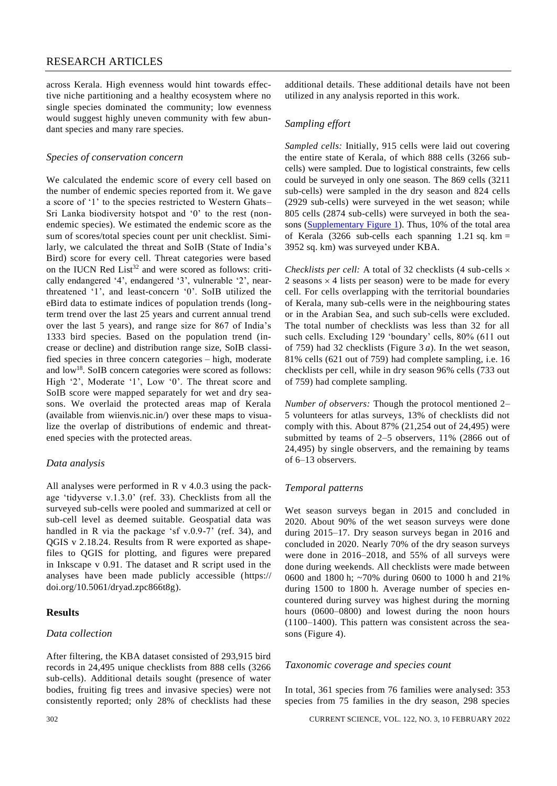across Kerala. High evenness would hint towards effective niche partitioning and a healthy ecosystem where no single species dominated the community; low evenness would suggest highly uneven community with few abundant species and many rare species.

#### *Species of conservation concern*

We calculated the endemic score of every cell based on the number of endemic species reported from it. We gave a score of '1' to the species restricted to Western Ghats– Sri Lanka biodiversity hotspot and '0' to the rest (nonendemic species). We estimated the endemic score as the sum of scores/total species count per unit checklist. Similarly, we calculated the threat and SoIB (State of India's Bird) score for every cell. Threat categories were based on the IUCN Red List<sup>32</sup> and were scored as follows: critically endangered '4', endangered '3', vulnerable '2', nearthreatened '1', and least-concern '0'. SoIB utilized the eBird data to estimate indices of population trends (longterm trend over the last 25 years and current annual trend over the last 5 years), and range size for 867 of India's 1333 bird species. Based on the population trend (increase or decline) and distribution range size, SoIB classified species in three concern categories – high, moderate and low<sup>18</sup>. SoIB concern categories were scored as follows: High '2', Moderate '1', Low '0'. The threat score and SoIB score were mapped separately for wet and dry seasons. We overlaid the protected areas map of Kerala (available from wiienvis.nic.in/) over these maps to visualize the overlap of distributions of endemic and threatened species with the protected areas.

#### *Data analysis*

All analyses were performed in R v 4.0.3 using the package 'tidyverse v.1.3.0' (ref. 33). Checklists from all the surveyed sub-cells were pooled and summarized at cell or sub-cell level as deemed suitable. Geospatial data was handled in R via the package 'sf v.0.9-7' (ref. 34), and QGIS v 2.18.24. Results from R were exported as shapefiles to QGIS for plotting, and figures were prepared in Inkscape v 0.91. The dataset and R script used in the analyses have been made publicly accessible [\(https://](https://doi.org/10.5061/dryad.zpc866t8g) [doi.org/10.5061/dryad.zpc866t8g\)](https://doi.org/10.5061/dryad.zpc866t8g).

#### **Results**

#### *Data collection*

After filtering, the KBA dataset consisted of 293,915 bird records in 24,495 unique checklists from 888 cells (3266 sub-cells). Additional details sought (presence of water bodies, fruiting fig trees and invasive species) were not consistently reported; only 28% of checklists had these

additional details. These additional details have not been utilized in any analysis reported in this work.

#### *Sampling effort*

*Sampled cells:* Initially, 915 cells were laid out covering the entire state of Kerala, of which 888 cells (3266 subcells) were sampled. Due to logistical constraints, few cells could be surveyed in only one season. The 869 cells (3211 sub-cells) were sampled in the dry season and 824 cells (2929 sub-cells) were surveyed in the wet season; while 805 cells (2874 sub-cells) were surveyed in both the seasons [\(Supplementary Figure](https://www.currentscience.ac.in/Volumes/122/03/0298-suppl.pdf) 1). Thus, 10% of the total area of Kerala (3266 sub-cells each spanning 1.21 sq. km = 3952 sq. km) was surveyed under KBA.

*Checklists per cell:* A total of 32 checklists (4 sub-cells  $\times$ 2 seasons  $\times$  4 lists per season) were to be made for every cell. For cells overlapping with the territorial boundaries of Kerala, many sub-cells were in the neighbouring states or in the Arabian Sea, and such sub-cells were excluded. The total number of checklists was less than 32 for all such cells. Excluding 129 'boundary' cells, 80% (611 out of 759) had 32 checklists (Figure 3 *a*). In the wet season, 81% cells (621 out of 759) had complete sampling, i.e. 16 checklists per cell, while in dry season 96% cells (733 out of 759) had complete sampling.

*Number of observers:* Though the protocol mentioned 2– 5 volunteers for atlas surveys, 13% of checklists did not comply with this. About 87% (21,254 out of 24,495) were submitted by teams of 2–5 observers, 11% (2866 out of 24,495) by single observers, and the remaining by teams of 6–13 observers.

#### *Temporal patterns*

Wet season surveys began in 2015 and concluded in 2020. About 90% of the wet season surveys were done during 2015–17. Dry season surveys began in 2016 and concluded in 2020. Nearly 70% of the dry season surveys were done in 2016–2018, and 55% of all surveys were done during weekends. All checklists were made between 0600 and 1800 h; ~70% during 0600 to 1000 h and 21% during 1500 to 1800 h. Average number of species encountered during survey was highest during the morning hours (0600–0800) and lowest during the noon hours (1100–1400). This pattern was consistent across the seasons (Figure 4).

#### *Taxonomic coverage and species count*

In total, 361 species from 76 families were analysed: 353 species from 75 families in the dry season, 298 species

302 CURRENT SCIENCE, VOL. 122, NO. 3, 10 FEBRUARY 2022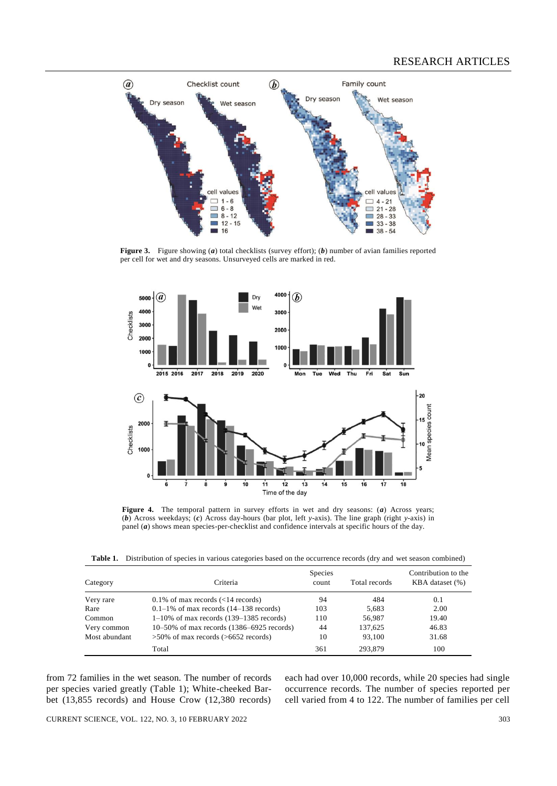

**Figure 3.** Figure showing (*a*) total checklists (survey effort); (*b*) number of avian families reported per cell for wet and dry seasons. Unsurveyed cells are marked in red.



**Figure 4.** The temporal pattern in survey efforts in wet and dry seasons: (*a*) Across years; (*b*) Across weekdays; (*c*) Across day-hours (bar plot, left *y*-axis). The line graph (right *y*-axis) in panel (*a*) shows mean species-per-checklist and confidence intervals at specific hours of the day.

**Table 1.** Distribution of species in various categories based on the occurrence records (dry and wet season combined)

| Category      | Criteria                                       | <b>Species</b><br>count | Total records | Contribution to the<br>KBA dataset (%) |
|---------------|------------------------------------------------|-------------------------|---------------|----------------------------------------|
| Very rare     | $0.1\%$ of max records (<14 records)           | 94                      | 484           | 0.1                                    |
| Rare          | $0.1-1\%$ of max records $(14-138$ records)    | 103                     | 5,683         | 2.00                                   |
| Common        | $1-10\%$ of max records (139–1385 records)     | 110                     | 56,987        | 19.40                                  |
| Very common   | $10-50\%$ of max records $(1386-6925$ records) | 44                      | 137.625       | 46.83                                  |
| Most abundant | $>50\%$ of max records ( $>6652$ records)      | 10                      | 93.100        | 31.68                                  |
|               | Total                                          | 361                     | 293,879       | 100                                    |

from 72 families in the wet season. The number of records per species varied greatly (Table 1); White-cheeked Barbet (13,855 records) and House Crow (12,380 records)

each had over 10,000 records, while 20 species had single occurrence records. The number of species reported per cell varied from 4 to 122. The number of families per cell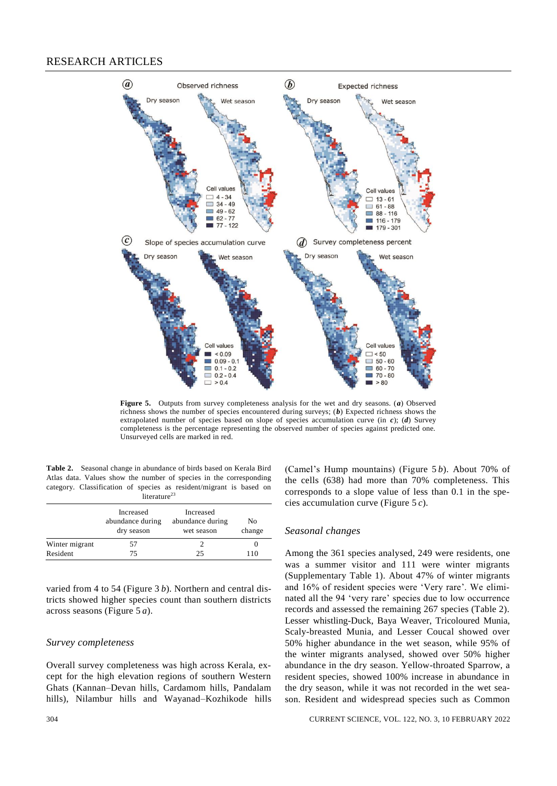

**Figure 5.** Outputs from survey completeness analysis for the wet and dry seasons. (*a*) Observed richness shows the number of species encountered during surveys; (*b*) Expected richness shows the extrapolated number of species based on slope of species accumulation curve (in *c*); (*d*) Survey completeness is the percentage representing the observed number of species against predicted one. Unsurveyed cells are marked in red.

**Table 2.** Seasonal change in abundance of birds based on Kerala Bird Atlas data. Values show the number of species in the corresponding category. Classification of species as resident/migrant is based on n<br>literature<sup>23</sup>

|                | Increased<br>abundance during<br>dry season | Increased<br>abundance during<br>wet season | No<br>change |
|----------------|---------------------------------------------|---------------------------------------------|--------------|
| Winter migrant | ו ר                                         |                                             |              |
| Resident       | 75                                          | 25                                          | 110          |

varied from 4 to 54 (Figure 3 *b*). Northern and central districts showed higher species count than southern districts across seasons (Figure 5 *a*).

#### *Survey completeness*

Overall survey completeness was high across Kerala, except for the high elevation regions of southern Western Ghats (Kannan–Devan hills, Cardamom hills, Pandalam hills), Nilambur hills and Wayanad–Kozhikode hills (Camel's Hump mountains) (Figure 5 *b*). About 70% of the cells (638) had more than 70% completeness. This corresponds to a slope value of less than 0.1 in the species accumulation curve (Figure 5 *c*).

#### *Seasonal changes*

Among the 361 species analysed, 249 were residents, one was a summer visitor and 111 were winter migrants (Supplementary Table 1). About 47% of winter migrants and 16% of resident species were 'Very rare'. We eliminated all the 94 'very rare' species due to low occurrence records and assessed the remaining 267 species (Table 2). Lesser whistling-Duck, Baya Weaver, Tricoloured Munia, Scaly-breasted Munia, and Lesser Coucal showed over 50% higher abundance in the wet season, while 95% of the winter migrants analysed, showed over 50% higher abundance in the dry season. Yellow-throated Sparrow, a resident species, showed 100% increase in abundance in the dry season, while it was not recorded in the wet season. Resident and widespread species such as Common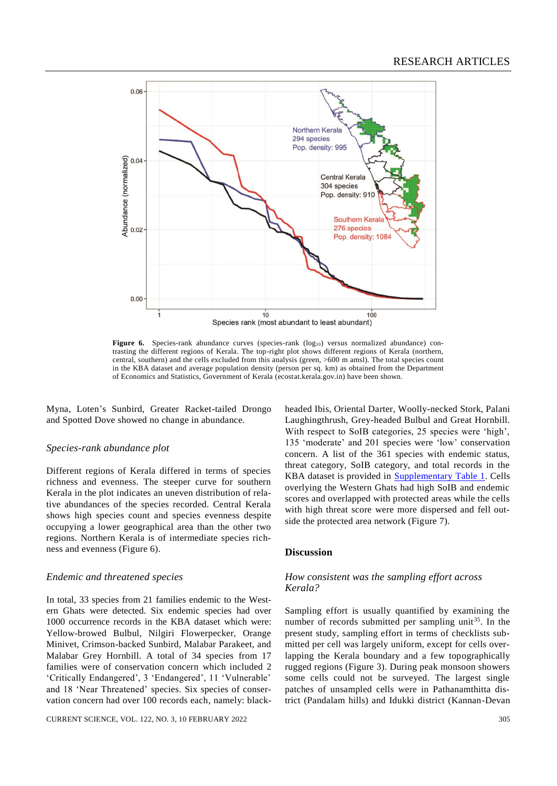

**Figure 6.** Species-rank abundance curves (species-rank  $(\log_{10})$  versus normalized abundance) contrasting the different regions of Kerala. The top-right plot shows different regions of Kerala (northern, central, southern) and the cells excluded from this analysis (green, >600 m amsl). The total species count in the KBA dataset and average population density (person per sq. km) as obtained from the Department of Economics and Statistics, Government of Kerala (ecostat.kerala.gov.in) have been shown.

Myna, Loten's Sunbird, Greater Racket-tailed Drongo and Spotted Dove showed no change in abundance.

#### *Species-rank abundance plot*

Different regions of Kerala differed in terms of species richness and evenness. The steeper curve for southern Kerala in the plot indicates an uneven distribution of relative abundances of the species recorded. Central Kerala shows high species count and species evenness despite occupying a lower geographical area than the other two regions. Northern Kerala is of intermediate species richness and evenness (Figure 6).

#### *Endemic and threatened species*

In total, 33 species from 21 families endemic to the Western Ghats were detected. Six endemic species had over 1000 occurrence records in the KBA dataset which were: Yellow-browed Bulbul, Nilgiri Flowerpecker, Orange Minivet, Crimson-backed Sunbird, Malabar Parakeet, and Malabar Grey Hornbill. A total of 34 species from 17 families were of conservation concern which included 2 'Critically Endangered', 3 'Endangered', 11 'Vulnerable' and 18 'Near Threatened' species. Six species of conservation concern had over 100 records each, namely: black-

CURRENT SCIENCE, VOL. 122, NO. 3, 10 FEBRUARY 2022 305

headed Ibis, Oriental Darter, Woolly-necked Stork, Palani Laughingthrush, Grey-headed Bulbul and Great Hornbill. With respect to SoIB categories, 25 species were 'high', 135 'moderate' and 201 species were 'low' conservation concern. A list of the 361 species with endemic status, threat category, SoIB category, and total records in the KBA dataset is provided in [Supplementary Table 1.](https://www.currentscience.ac.in/Volumes/122/03/0298-suppl.pdf) Cells overlying the Western Ghats had high SoIB and endemic scores and overlapped with protected areas while the cells with high threat score were more dispersed and fell outside the protected area network (Figure 7).

#### **Discussion**

#### *How consistent was the sampling effort across Kerala?*

Sampling effort is usually quantified by examining the number of records submitted per sampling unit<sup>35</sup>. In the present study, sampling effort in terms of checklists submitted per cell was largely uniform, except for cells overlapping the Kerala boundary and a few topographically rugged regions (Figure 3). During peak monsoon showers some cells could not be surveyed. The largest single patches of unsampled cells were in Pathanamthitta district (Pandalam hills) and Idukki district (Kannan-Devan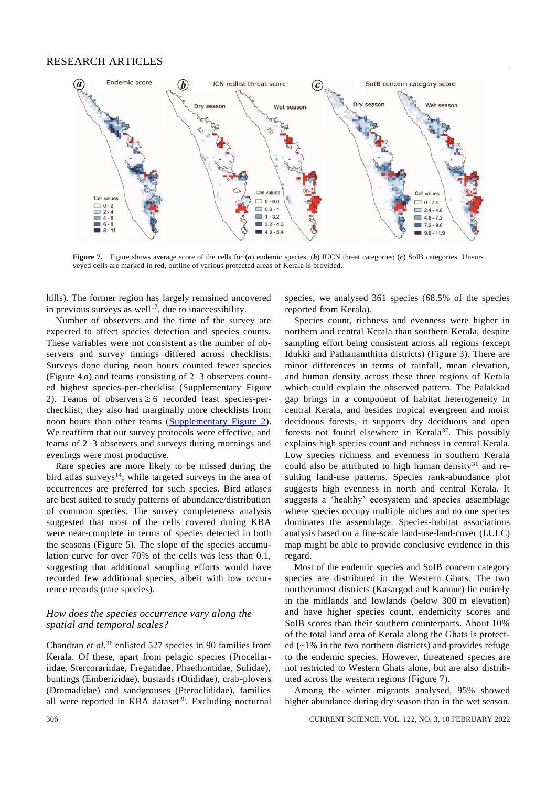

**Figure 7.** Figure shows average score of the cells for (*a*) endemic species; (*b*) IUCN threat categories; (*c*) SoIB categories. Unsurveyed cells are marked in red, outline of various protected areas of Kerala is provided.

hills). The former region has largely remained uncovered in previous surveys as well<sup>17</sup>, due to inaccessibility.

Number of observers and the time of the survey are expected to affect species detection and species counts. These variables were not consistent as the number of observers and survey timings differed across checklists. Surveys done during noon hours counted fewer species (Figure 4 *a*) and teams consisting of 2–3 observers counted highest species-per-checklist (Supplementary Figure 2). Teams of observers  $\geq 6$  recorded least species-perchecklist; they also had marginally more checklists from noon hours than other teams [\(Supplementary Figure 2\)](https://www.currentscience.ac.in/Volumes/122/03/0298-suppl.pdf). We reaffirm that our survey protocols were effective, and teams of 2–3 observers and surveys during mornings and evenings were most productive.

Rare species are more likely to be missed during the bird atlas surveys<sup>14</sup>; while targeted surveys in the area of occurrences are preferred for such species. Bird atlases are best suited to study patterns of abundance/distribution of common species. The survey completeness analysis suggested that most of the cells covered during KBA were near-complete in terms of species detected in both the seasons (Figure 5). The slope of the species accumulation curve for over 70% of the cells was less than 0.1, suggesting that additional sampling efforts would have recorded few additional species, albeit with low occurrence records (rare species).

#### *How does the species occurrence vary along the spatial and temporal scales?*

Chandran *et al.*<sup>36</sup> enlisted 527 species in 90 families from Kerala. Of these, apart from pelagic species (Procellariidae, Stercorariidae, Fregatidae, Phaethontidae, Sulidae), buntings (Emberizidae), bustards (Otididae), crab-plovers (Dromadidae) and sandgrouses (Pteroclididae), families all were reported in KBA dataset<sup>20</sup>. Excluding nocturnal

species, we analysed 361 species (68.5% of the species reported from Kerala).

Species count, richness and evenness were higher in northern and central Kerala than southern Kerala, despite sampling effort being consistent across all regions (except Idukki and Pathanamthitta districts) (Figure 3). There are minor differences in terms of rainfall, mean elevation, and human density across these three regions of Kerala which could explain the observed pattern. The Palakkad gap brings in a component of habitat heterogeneity in central Kerala, and besides tropical evergreen and moist deciduous forests, it supports dry deciduous and open forests not found elsewhere in Kerala<sup>37</sup>. This possibly explains high species count and richness in central Kerala. Low species richness and evenness in southern Kerala could also be attributed to high human density $31$  and resulting land-use patterns. Species rank-abundance plot suggests high evenness in north and central Kerala. It suggests a 'healthy' ecosystem and species assemblage where species occupy multiple niches and no one species dominates the assemblage. Species-habitat associations analysis based on a fine-scale land-use-land-cover (LULC) map might be able to provide conclusive evidence in this regard.

Most of the endemic species and SoIB concern category species are distributed in the Western Ghats. The two northernmost districts (Kasargod and Kannur) lie entirely in the midlands and lowlands (below 300 m elevation) and have higher species count, endemicity scores and SoIB scores than their southern counterparts. About 10% of the total land area of Kerala along the Ghats is protected  $(-1)$ % in the two northern districts) and provides refuge to the endemic species. However, threatened species are not restricted to Western Ghats alone, but are also distributed across the western regions (Figure 7).

Among the winter migrants analysed, 95% showed higher abundance during dry season than in the wet season.

306 CURRENT SCIENCE, VOL. 122, NO. 3, 10 FEBRUARY 2022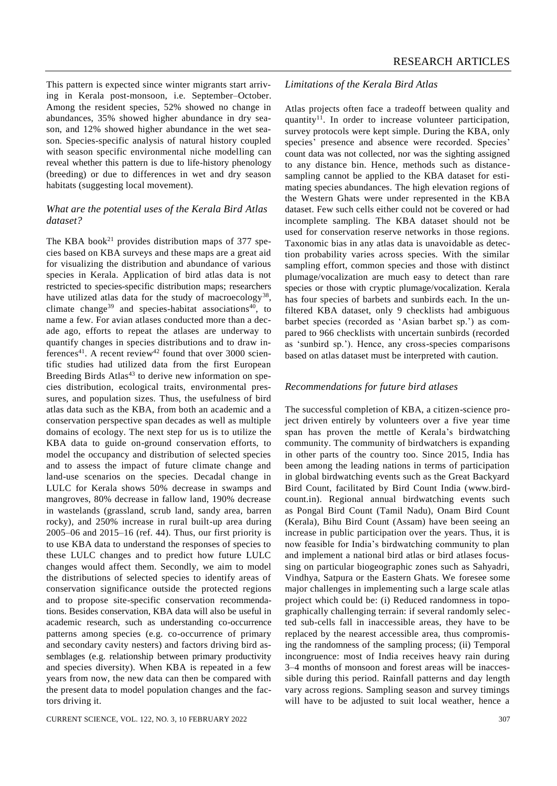This pattern is expected since winter migrants start arriving in Kerala post-monsoon, i.e. September–October. Among the resident species, 52% showed no change in abundances, 35% showed higher abundance in dry season, and 12% showed higher abundance in the wet season. Species-specific analysis of natural history coupled with season specific environmental niche modelling can reveal whether this pattern is due to life-history phenology (breeding) or due to differences in wet and dry season habitats (suggesting local movement).

## *What are the potential uses of the Kerala Bird Atlas dataset?*

The KBA book<sup>21</sup> provides distribution maps of  $377$  species based on KBA surveys and these maps are a great aid for visualizing the distribution and abundance of various species in Kerala. Application of bird atlas data is not restricted to species-specific distribution maps; researchers have utilized atlas data for the study of macroecology<sup>38</sup>, climate change<sup>39</sup> and species-habitat associations<sup>40</sup>, to name a few. For avian atlases conducted more than a decade ago, efforts to repeat the atlases are underway to quantify changes in species distributions and to draw inferences<sup>41</sup>. A recent review<sup>42</sup> found that over 3000 scientific studies had utilized data from the first European Breeding Birds Atlas<sup>43</sup> to derive new information on species distribution, ecological traits, environmental pressures, and population sizes. Thus, the usefulness of bird atlas data such as the KBA, from both an academic and a conservation perspective span decades as well as multiple domains of ecology. The next step for us is to utilize the KBA data to guide on-ground conservation efforts, to model the occupancy and distribution of selected species and to assess the impact of future climate change and land-use scenarios on the species. Decadal change in LULC for Kerala shows 50% decrease in swamps and mangroves, 80% decrease in fallow land, 190% decrease in wastelands (grassland, scrub land, sandy area, barren rocky), and 250% increase in rural built-up area during 2005–06 and 2015–16 (ref. 44). Thus, our first priority is to use KBA data to understand the responses of species to these LULC changes and to predict how future LULC changes would affect them. Secondly, we aim to model the distributions of selected species to identify areas of conservation significance outside the protected regions and to propose site-specific conservation recommendations. Besides conservation, KBA data will also be useful in academic research, such as understanding co-occurrence patterns among species (e.g. co-occurrence of primary and secondary cavity nesters) and factors driving bird assemblages (e.g. relationship between primary productivity and species diversity). When KBA is repeated in a few years from now, the new data can then be compared with the present data to model population changes and the factors driving it.

#### *Limitations of the Kerala Bird Atlas*

Atlas projects often face a tradeoff between quality and quantity<sup>11</sup>. In order to increase volunteer participation, survey protocols were kept simple. During the KBA, only species' presence and absence were recorded. Species' count data was not collected, nor was the sighting assigned to any distance bin. Hence, methods such as distancesampling cannot be applied to the KBA dataset for estimating species abundances. The high elevation regions of the Western Ghats were under represented in the KBA dataset. Few such cells either could not be covered or had incomplete sampling. The KBA dataset should not be used for conservation reserve networks in those regions. Taxonomic bias in any atlas data is unavoidable as detection probability varies across species. With the similar sampling effort, common species and those with distinct plumage/vocalization are much easy to detect than rare species or those with cryptic plumage/vocalization. Kerala has four species of barbets and sunbirds each. In the unfiltered KBA dataset, only 9 checklists had ambiguous barbet species (recorded as 'Asian barbet sp.') as compared to 966 checklists with uncertain sunbirds (recorded as 'sunbird sp.'). Hence, any cross-species comparisons based on atlas dataset must be interpreted with caution.

#### *Recommendations for future bird atlases*

The successful completion of KBA, a citizen-science project driven entirely by volunteers over a five year time span has proven the mettle of Kerala's birdwatching community. The community of birdwatchers is expanding in other parts of the country too. Since 2015, India has been among the leading nations in terms of participation in global birdwatching events such as the Great Backyard Bird Count, facilitated by Bird Count India [\(www.bird](http://www.birdcount.in/)[count.in\)](http://www.birdcount.in/). Regional annual birdwatching events such as Pongal Bird Count (Tamil Nadu), Onam Bird Count (Kerala), Bihu Bird Count (Assam) have been seeing an increase in public participation over the years. Thus, it is now feasible for India's birdwatching community to plan and implement a national bird atlas or bird atlases focussing on particular biogeographic zones such as Sahyadri, Vindhya, Satpura or the Eastern Ghats. We foresee some major challenges in implementing such a large scale atlas project which could be: (i) Reduced randomness in topographically challenging terrain: if several randomly selected sub-cells fall in inaccessible areas, they have to be replaced by the nearest accessible area, thus compromising the randomness of the sampling process; (ii) Temporal incongruence: most of India receives heavy rain during 3–4 months of monsoon and forest areas will be inaccessible during this period. Rainfall patterns and day length vary across regions. Sampling season and survey timings will have to be adjusted to suit local weather, hence a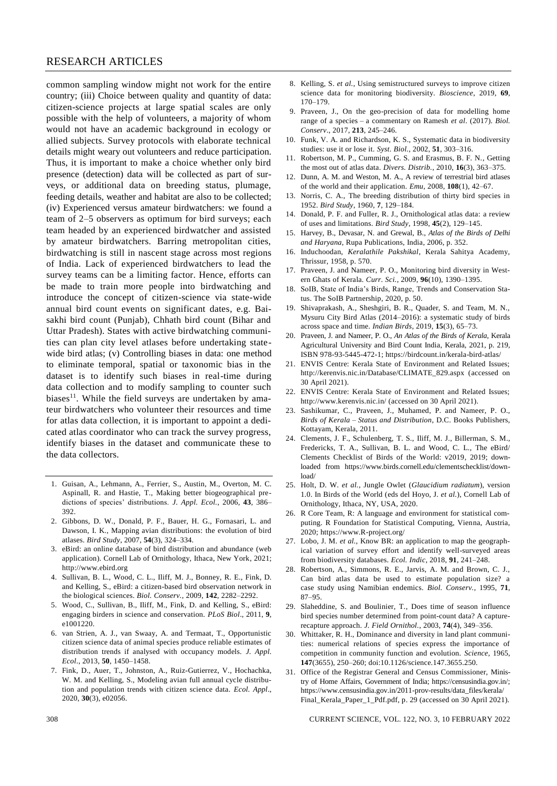common sampling window might not work for the entire country; (iii) Choice between quality and quantity of data: citizen-science projects at large spatial scales are only possible with the help of volunteers, a majority of whom would not have an academic background in ecology or allied subjects. Survey protocols with elaborate technical details might weary out volunteers and reduce participation. Thus, it is important to make a choice whether only bird presence (detection) data will be collected as part of surveys, or additional data on breeding status, plumage, feeding details, weather and habitat are also to be collected; (iv) Experienced versus amateur birdwatchers: we found a team of 2–5 observers as optimum for bird surveys; each team headed by an experienced birdwatcher and assisted by amateur birdwatchers. Barring metropolitan cities, birdwatching is still in nascent stage across most regions of India. Lack of experienced birdwatchers to lead the survey teams can be a limiting factor. Hence, efforts can be made to train more people into birdwatching and introduce the concept of citizen-science via state-wide annual bird count events on significant dates, e.g. Baisakhi bird count (Punjab), Chhath bird count (Bihar and Uttar Pradesh). States with active birdwatching communities can plan city level atlases before undertaking statewide bird atlas; (v) Controlling biases in data: one method to eliminate temporal, spatial or taxonomic bias in the dataset is to identify such biases in real-time during data collection and to modify sampling to counter such biases<sup>11</sup>. While the field surveys are undertaken by amateur birdwatchers who volunteer their resources and time for atlas data collection, it is important to appoint a dedicated atlas coordinator who can track the survey progress, identify biases in the dataset and communicate these to the data collectors.

- 1. Guisan, A., Lehmann, A., Ferrier, S., Austin, M., Overton, M. C. Aspinall, R. and Hastie, T., Making better biogeographical predictions of species' distributions. *J. Appl. Ecol.*, 2006, **43**, 386– 392.
- 2. Gibbons, D. W., Donald, P. F., Bauer, H. G., Fornasari, L. and Dawson, I. K., Mapping avian distributions: the evolution of bird atlases. *Bird Study*, 2007, **54**(3), 324–334.
- 3. eBird: an online database of bird distribution and abundance (web application). Cornell Lab of Ornithology, Ithaca, New York, 2021; [http://www.ebird.org](http://www.ebird.org/)
- 4. Sullivan, B. L., Wood, C. L., Iliff, M. J., Bonney, R. E., Fink, D. and Kelling, S., eBird: a citizen-based bird observation network in the biological sciences. *Biol. Conserv.*, 2009, **142**, 2282–2292.
- 5. Wood, C., Sullivan, B., Iliff, M., Fink, D. and Kelling, S., eBird: engaging birders in science and conservation. *PLoS Biol*., 2011, **9**, e1001220.
- 6. van Strien, A. J., van Swaay, A. and Termaat, T., Opportunistic citizen science data of animal species produce reliable estimates of distribution trends if analysed with occupancy models. *J. Appl. Ecol*., 2013, **50**, 1450–1458.
- 7. Fink, D., Auer, T., Johnston, A., Ruiz-Gutierrez, V., Hochachka, W. M. and Kelling, S., Modeling avian full annual cycle distribution and population trends with citizen science data. *Ecol. Appl*., 2020, **30**(3), e02056.
- 8. Kelling, S. *et al.*, Using semistructured surveys to improve citizen science data for monitoring biodiversity. *Bioscience*, 2019, **69**, 170–179.
- 9. Praveen, J., On the geo-precision of data for modelling home range of a species – a commentary on Ramesh *et al*. (2017). *Biol. Conserv*., 2017, **213**, 245–246.
- 10. Funk, V. A. and Richardson, K. S., Systematic data in biodiversity studies: use it or lose it. *Syst. Biol.*, 2002, **51**, 303–316.
- 11. Robertson, M. P., Cumming, G. S. and Erasmus, B. F. N., Getting the most out of atlas data. *Divers. Distrib.*, 2010, **16**(3), 363–375.
- 12. Dunn, A. M. and Weston, M. A., A review of terrestrial bird atlases of the world and their application. *Emu*, 2008, **108**(1), 42–67.
- 13. Norris, C. A., The breeding distribution of thirty bird species in 1952. *Bird Study*, 1960, **7**, 129–184.
- 14. Donald, P. F. and Fuller, R. J., Ornithological atlas data: a review of uses and limitations. *Bird Study*, 1998, **45**(2), 129–145.
- 15. Harvey, B., Devasar, N. and Grewal, B., *Atlas of the Birds of Delhi and Haryana*, Rupa Publications, India, 2006, p. 352.
- 16. Induchoodan, *Keralathile Pakshikal*, Kerala Sahitya Academy, Thrissur, 1958, p. 570.
- 17. Praveen, J. and Nameer, P. O., Monitoring bird diversity in Western Ghats of Kerala. *Curr. Sci.*, 2009, **96**(10), 1390–1395.
- 18. SoIB, State of India's Birds, Range, Trends and Conservation Status. The SoIB Partnership, 2020, p. 50.
- 19. Shivaprakash, A., Sheshgiri, B. R., Quader, S. and Team, M. N., Mysuru City Bird Atlas (2014–2016): a systematic study of birds across space and time. *Indian Birds*, 2019, **15**(3), 65–73.
- 20. Praveen, J. and Nameer, P. O., *An Atlas of the Birds of Kerala*, Kerala Agricultural University and Bird Count India, Kerala, 2021, p. 219, ISBN 978-93-5445-472-1; <https://birdcount.in/kerala-bird-atlas/>
- 21. ENVIS Centre: Kerala State of Environment and Related Issues; http://kerenvis.nic.in/Database/CLIMATE\_829.aspx (accessed on 30 April 2021).
- 22. ENVIS Centre: Kerala State of Environment and Related Issues; http://www.kerenvis.nic.in/ (accessed on 30 April 2021).
- 23. Sashikumar, C., Praveen, J., Muhamed, P. and Nameer, P. O., *Birds of Kerala – Status and Distribution*, D.C. Books Publishers, Kottayam, Kerala, 2011.
- 24. Clements, J. F., Schulenberg, T. S., Iliff, M. J., Billerman, S. M., Fredericks, T. A., Sullivan, B. L. and Wood, C. L., The eBird/ Clements Checklist of Birds of the World: v2019, 2019; downloaded from [https://www.birds.cornell.edu/clementschecklist/down](https://www.birds.cornell.edu/clementschecklist/download/)[load/](https://www.birds.cornell.edu/clementschecklist/download/)
- 25. Holt, D. W. *et al.*, Jungle Owlet (*Glaucidium radiatum*), version 1.0. In Birds of the World (eds del Hoyo, J. *et al.*), Cornell Lab of Ornithology, Ithaca, NY, USA, 2020.
- 26. R Core Team, R: A language and environment for statistical computing. R Foundation for Statistical Computing, Vienna, Austria, 2020[; https://www.R-project.org/](https://www.r-project.org/)
- 27. Lobo, J. M. *et al.*, Know BR: an application to map the geographical variation of survey effort and identify well-surveyed areas from biodiversity databases. *Ecol. Indic*, 2018, **91**, 241–248.
- 28. Robertson, A., Simmons, R. E., Jarvis, A. M. and Brown, C. J., Can bird atlas data be used to estimate population size? a case study using Namibian endemics. *Biol. Conserv.*, 1995, **71**, 87–95.
- 29. Slaheddine, S. and Boulinier, T., Does time of season influence bird species number determined from point-count data? A capturerecapture approach. *J. Field Ornithol.*, 2003, **74**(4), 349–356.
- 30. Whittaker, R. H., Dominance and diversity in land plant communities: numerical relations of species express the importance of competition in community function and evolution. *Science*, 1965, **147**(3655), 250–260; doi:10.1126/science.147.3655.250.
- 31. Office of the Registrar General and Census Commissioner, Ministry of Home Affairs, Government of India; https://censusindia.gov.in/; https://www.censusindia.gov.in/2011-prov-results/data\_files/kerala/ Final\_Kerala\_Paper\_1\_Pdf.pdf, p. 29 (accessed on 30 April 2021).

308 CURRENT SCIENCE, VOL. 122, NO. 3, 10 FEBRUARY 2022